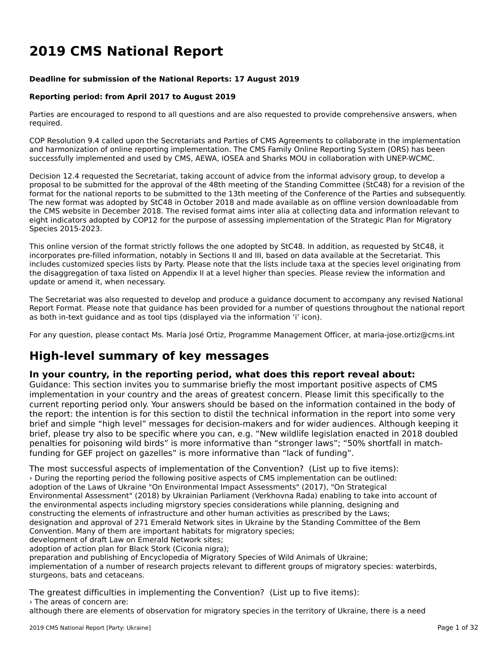# **2019 CMS National Report**

#### **Deadline for submission of the National Reports: 17 August 2019**

#### **Reporting period: from April 2017 to August 2019**

Parties are encouraged to respond to all questions and are also requested to provide comprehensive answers, when required.

COP Resolution 9.4 called upon the Secretariats and Parties of CMS Agreements to collaborate in the implementationand harmonization of online reporting implementation. The CMS Family Online Reporting System (ORS) has been successfully implemented and used by CMS, AEWA, IOSEA and Sharks MOU in collaboration with UNEP-WCMC.

Decision 12.4 requested the Secretariat, taking account of advice from the informal advisory group, to develop a proposal to be submitted for the approval of the 48th meeting of the Standing Committee (StC48) for a revision of the format for the national reports to be submitted to the 13th meeting of the Conference of the Parties and subsequently. The new format was adopted by StC48 in October 2018 and made available as on offline version downloadable from the CMS website in December 2018. The revised format aims inter alia at collecting data and information relevant to eight indicators adopted by COP12 for the purpose of assessing implementation of the Strategic Plan for Migratory Species 2015-2023.

This online version of the format strictly follows the one adopted by StC48. In addition, as requested by StC48, it incorporates pre-filled information, notably in Sections II and III, based on data available at the Secretariat. This includes customized species lists by Party. Please note that the lists include taxa at the species level originating from the disaggregation of taxa listed on Appendix II at a level higher than species. Please review the information and update or amend it, when necessary.

The Secretariat was also requested to develop and produce a guidance document to accompany any revised National The Secretariat was also requested to develop and produce a guidance document to accompany any revised National<br>Report Format. Please note that guidance has been provided for a number of questions throughout the national r as both in-text guidance and as tool tips (displayed via the information 'i' icon).

For any question, please contact Ms. María José Ortiz, Programme Management Officer, at maria-jose.ortiz@cms.int

# **High-level summary of key messages**

### **In your country, in the reporting period, what does this report reveal about:**

In your country, in the reporting period, what does this report revear about.<br>Guidance: This section invites you to summarise briefly the most important positive aspects of CMS implementation in your country and the areas of greatest concern. Please limit this specifically to the reprementation in your country and the areas or greatest content. Frease limit this specifically to the<br>current reporting period only. Your answers should be based on the information contained in the body of brief and simple "high level" messages for decision-makers and for wider audiences. Although keeping itbrief, plus simple tright level messages for decision-makers and for where addenies. Although New Wildlife legislation enacted in 2018 doubled penalties for poisoning wild birds" is more informative than "stronger laws"; "50% shortfall in matchfunding for GEF project on gazelles" is more informative than "lack of funding".

The most successful aspects of implementation of the Convention? (List up to five items): › During the reporting period the following positive aspects of CMS implementation can be outlined: adoption of the Laws of Ukraine "On Environmental Impact Assessments" (2017), "On Strategical Environmental Assessment" (2018) by Ukrainian Parliament (Verkhovna Rada) enabling to take into account of the environmental aspects including migrstory species considerations while planning, designing andconstructing the elements of infrastructure and other human activities as prescribed by the Laws; designation and approval of 271 Emerald Network sites in Ukraine by the Standing Committee of the Bern Convention. Many of them are important habitats for migratory species; development of draft Law on Emerald Network sites; aevelopment of aralt Law on Emerald Network Sites,<br>adoption of action plan for Black Stork (Ciconia nigra); preparation and publishing of Encyclopedia of Migratory Species of Wild Animals of Ukraine; preparation and publishing of Encyclopedia of Migratory Species of Wild Animals of Okraine,<br>implementation of a number of research projects relevant to different groups of migratory species: waterbirds, sturgeons, bats and cetaceans.

The greatest difficulties in implementing the Convention? (List up to five items): › The areas of concern are:

although there are elements of observation for migratory species in the territory of Ukraine, there is a need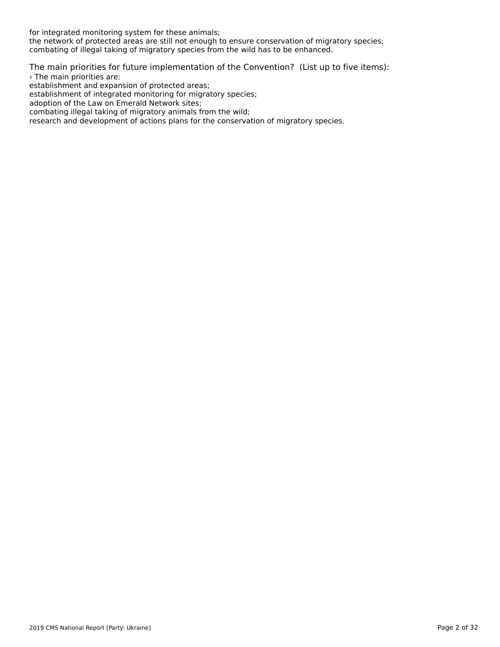for integrated monitoring system for these animals;

for integrated monitoring system for these animals,<br>the network of protected areas are still not enough to ensure conservation of migratory species; combating of illegal taking of migratory species from the wild has to be enhanced.

The main priorities for future implementation of the Convention? (List up to five items): › The main priorities are:

s me main priorities are.<br>establishment and expansion of protected areas;

establishment and expansion or protected areas,<br>establishment of integrated monitoring for migratory species;

establishment of integrated monitoring for mig<br>adoption of the Law on Emerald Network sites;

adophon of the Law on Enteratu Network sites,<br>combating illegal taking of migratory animals from the wild;

research and development of actions plans for the conservation of migratory species.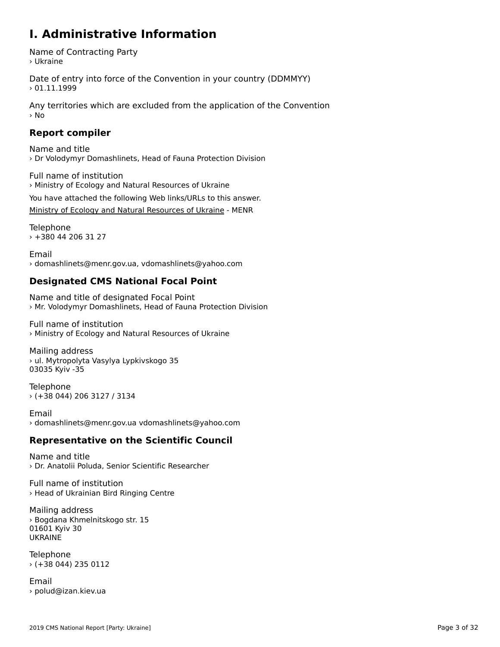#### **I. Administrative Information**

Name of Contracting Party › Ukraine

Date of entry into force of the Convention in your country (DDMMYY)  $> 01.11.1999$ 

Any territories which are excluded from the application of the Convention › No

### **Report compiler**

Name and title › Dr Volodymyr Domashlinets, Head of Fauna Protection Division

Full name of institution › Ministry of Ecology and Natural Resources of Ukraine

You have attached the following Web links/URLs to this answer. [Ministry of Ecology and Natural Resources of Ukraine](http://menr.gov.ua) - MENR

Telephone › +380 44 206 31 27

Email› domashlinets@menr.gov.ua, vdomashlinets@yahoo.com

### **Designated CMS National Focal Point**

Name and title of designated Focal Point › Mr. Volodymyr Domashlinets, Head of Fauna Protection Division

Full name of institution › Ministry of Ecology and Natural Resources of Ukraine

Mailing address › ul. Mytropolyta Vasylya Lypkivskogo 35 , аг. мусгорогус<br>03035 Kyiv -35

Telephone › (+38 044) 206 3127 / 3134

Email › domashlinets@menr.gov.ua vdomashlinets@yahoo.com

### **Representative on the Scientific Council**

Name and title› Dr. Anatolii Poluda, Senior Scientific Researcher

Full name of institution› Head of Ukrainian Bird Ringing Centre

Mailing address wamny address<br>> Bogdana Khmelnitskogo str. 15 01601 Kyiv 30<br>UKRAINE

Telephone › (+38 044) 235 0112

Email › polud@izan.kiev.ua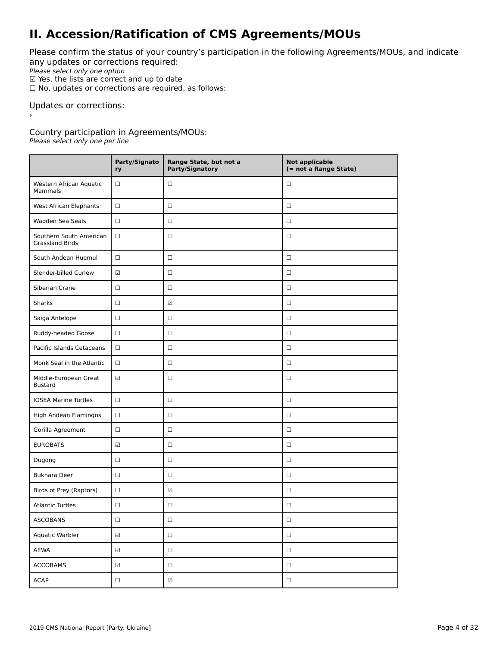### **II. Accession/Ratification of CMS Agreements/MOUs**

Please confirm the status of your country's participation in the following Agreements/MOUs, and indicate any updates or corrections required:

any apaaces of correctiv<br>Please select only one option

 $\Psi$  Yes, the lists are correct and up to date<br> $\Psi$  Yes, the lists are correct and up to date

 $\Box$  No, updates or corrections are required, as follows:

Updates or corrections:

Country participation in Agreements/MOUs:

Please select only one per line

|                                                   | Party/Signato<br>ry      | Range State, but not a<br>Party/Signatory | <b>Not applicable</b><br>(= not a Range State) |
|---------------------------------------------------|--------------------------|-------------------------------------------|------------------------------------------------|
| Western African Aquatic<br>$\Box$<br>Mammals      |                          | $\Box$                                    | □                                              |
| West African Elephants                            | $\Box$                   | $\Box$                                    | $\Box$                                         |
| Wadden Sea Seals                                  | $\Box$                   | $\Box$                                    | $\Box$                                         |
| Southern South American<br><b>Grassland Birds</b> | $\Box$                   | $\Box$                                    | $\Box$                                         |
| South Andean Huemul                               | $\Box$                   | $\Box$                                    | $\Box$                                         |
| Slender-billed Curlew                             | $\overline{\mathcal{L}}$ | $\Box$                                    | $\Box$                                         |
| Siberian Crane                                    | $\Box$                   | $\Box$                                    | $\Box$                                         |
| Sharks                                            | $\Box$                   | $\overline{\mathcal{L}}$                  | $\Box$                                         |
| Saiga Antelope<br>$\Box$                          |                          | $\Box$                                    | □                                              |
| Ruddy-headed Goose<br>$\Box$                      |                          | $\Box$                                    | $\Box$                                         |
| Pacific Islands Cetaceans<br>$\Box$               |                          | $\Box$                                    | $\Box$                                         |
| Monk Seal in the Atlantic                         | $\Box$                   | $\Box$                                    | $\Box$                                         |
| Middle-European Great<br><b>Bustard</b>           | $\overline{\mathcal{L}}$ | $\Box$                                    | □                                              |
| <b>IOSEA Marine Turtles</b><br>$\Box$             |                          | $\Box$                                    | $\Box$                                         |
| High Andean Flamingos                             | $\Box$                   | $\Box$                                    | $\Box$                                         |
| Gorilla Agreement                                 | $\Box$                   | $\Box$                                    | $\Box$                                         |
| <b>EUROBATS</b>                                   | ☑                        | $\Box$                                    | $\Box$                                         |
| Dugong                                            | $\Box$                   | $\Box$                                    | $\Box$                                         |
| <b>Bukhara Deer</b>                               | $\Box$                   | $\Box$                                    | □                                              |
| Birds of Prey (Raptors)                           | $\Box$                   | $\overline{\checkmark}$                   | $\Box$                                         |
| <b>Atlantic Turtles</b>                           | □                        | $\Box$                                    | □                                              |
| ASCOBANS                                          | $\hfill \square$         | $\Box$                                    | $\Box$                                         |
| Aquatic Warbler                                   | $\overline{\mathcal{L}}$ | $\Box$                                    | $\Box$                                         |
| AEWA                                              | $\overline{\mathcal{L}}$ | $\Box$                                    | $\Box$                                         |
| <b>ACCOBAMS</b>                                   | $\overline{\mathcal{L}}$ | $\Box$                                    | $\Box$                                         |
| <b>ACAP</b>                                       | $\hfill \square$         | $\boxed{\triangle}$                       | $\Box$                                         |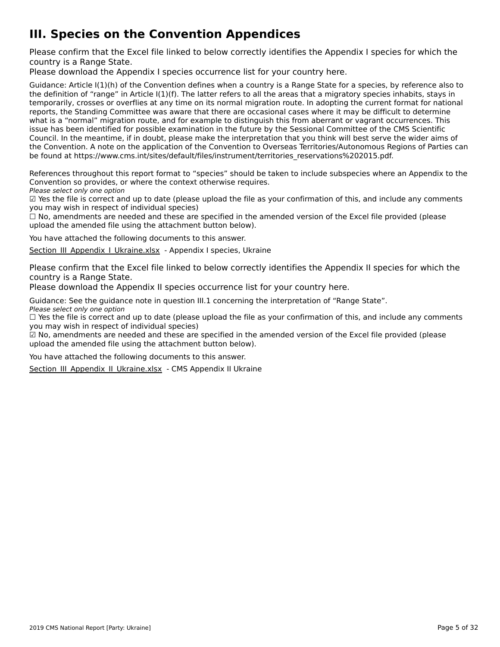# **III. Species on the Convention Appendices**

Please confirm that the Excel file linked to below correctly identifies the Appendix I species for which the

Please download the Appendix I species occurrence list for your country [here](http://tinyurl.com/y3yendbg).

Guidance: Article I(1)(h) of the Convention defines when a country is a Range State for a species, by reference also to the definition of "range" in Article I(1)(f). The latter refers to all the areas that a migratory species inhabits, stays in the deminion of Tange in Article ((1)(1). The facter felers to an the areas that a migratory species imfabits, stays in<br>temporarily, crosses or overflies at any time on its normal migration route. In adopting the current f reports, the Standing Committee was aware that there are occasional cases where it may be difficult to determine what is a "normal" migration route, and for example to distinguish this from aberrant or vagrant occurrences. This what is a "hormal" migration route, and for example to distinguish this nonraberrant or vagrant occurrences. Th<br>issue has been identified for possible examination in the future by the Sessional Committee of the CMS Scienti Council. In the meantime, if in doubt, please make the interpretation that you think will best serve the wider aims of the Convention. A note on the application of the Convention to Overseas Territories/Autonomous Regions of Parties can the convention. A note on the application of the convention to Overseas Territories/Adtonomous Re<br>be found at https://www.cms.int/sites/default/files/instrument/territories\_reservations%202015.pdf.

References throughout this report format to "species" should be taken to include subspecies where an Appendix to the References unbugnout this report format to "species" should be t<br>Convention so provides, or where the context otherwise requires.

Please select only one option

☑ Yes the file is correct and up to date (please upload the file as your confirmation of this, and include any comments $\Xi$  ies the nie is correct and up to date (please<br>you may wish in respect of individual species)

you may wish in respect of mulvidual species)<br>□ No, amendments are needed and these are specified in the amended version of the Excel file provided (please  $\square$  ivo, amendments are needed and these are specified in the<br>upload the amended file using the attachment button below).

You have attached the following documents to this answer.

[Section\\_III\\_Appendix\\_I\\_Ukraine.xlsx](http://cms-ort.ort-production.linode.unep-wcmc.org/answers/2673474/documents/2104) - Appendix I species, Ukraine

Please confirm that the Excel file linked to below correctly identifies the Appendix II species for which the

Please download the Appendix II species occurrence list for your country [here](http://tinyurl.com/y3yendbg).

Guidance: See the guidance note in question III.1 concerning the interpretation of "Range State". Suidditce: See the guiddity<br>Please select only one option

riease select only one option<br>□ Yes the file is correct and up to date (please upload the file as your confirmation of this, and include any comments  $\Box$  ies the nie is correct and up to date (please<br>you may wish in respect of individual species)

you may wish in respect of murvidual species;<br>☑ No, amendments are needed and these are specified in the amended version of the Excel file provided (please  $\Xi$  ivo, amendments are needed and these are specified in the<br>upload the amended file using the attachment button below).

You have attached the following documents to this answer.

Section III Appendix II Ukraine.xlsx - CMS Appendix II Ukraine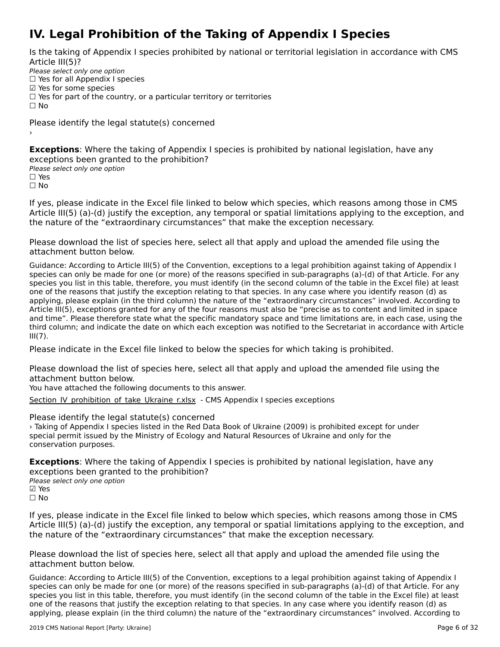# **IV. Legal Prohibition of the Taking of Appendix I Species**

Is the taking of Appendix I species prohibited by national or territorial legislation in accordance with CMS

Please select only one option Prease select only one option<br>□ Yes for all Appendix I species

 $\boxtimes$  Yes for some species

□ Tes for some species<br>□ Yes for part of the country, or a particular territory or territories

 $\Box$  No

Please identify the legal statute(s) concerned

**Exceptions**: Where the taking of Appendix I species is prohibited by national legislation, have any exceptions been granted to the prohibition?<br>Please select only one option

☐ Yes

☐ No

If yes, please indicate in the Excel file linked to below which species, which reasons among those in CMS Article III(5) (a)-(d) justify the exception, any temporal or spatial limitations applying to the exception, and the nature of the "extraordinary circumstances" that make the exception necessary.

Please download the list of species [here](http://tinyurl.com/y66dcyte), select all that apply and upload the amended file using the attachment button below.

Guidance: According to Article III(5) of the Convention, exceptions to a legal prohibition against taking of Appendix I species can only be made for one (or more) of the reasons specified in sub-paragraphs (a)-(d) of that Article. For any species can only be made for one (or more) or the reasons specified in sub-paragraphs (a)-(u) or that Article. For any<br>species you list in this table, therefore, you must identify (in the second column of the table in the species you ust in this table, therefore, you must identify (in the second column of the table in the Excernie) at le<br>one of the reasons that justify the exception relating to that species. In any case where you identify r applying, please explain (in the third column) the nature of the "extraordinary circumstances" involved. According to Article III(5), exceptions granted for any of the four reasons must also be "precise as to content and limited in space and time". Please therefore state what the specific mandatory space and time limitations are, in each case, using the and time. The ase therefore state what the specific manuatory space and time immetions are, in each case, using the<br>third column; and indicate the date on which each exception was notified to the Secretariat in accordance  $III(7)$ .

Please indicate in the Excel file linked to below the species for which taking is prohibited.

Please download the list of species [here](http://tinyurl.com/y4drhzs6), select all that apply and upload the amended file using the attachment button below.

You have attached the following documents to this answer.

[Section\\_IV\\_prohibition\\_of\\_take\\_Ukraine\\_r.xlsx](http://cms-ort.ort-production.linode.unep-wcmc.org/answers/2673648/documents/2120) - CMS Appendix I species exceptions

Please identify the legal statute(s) concerned

› Taking of Appendix I species listed in the Red Data Book of Ukraine (2009) is prohibited except for under Flaking of Appendix 1 species listed in the Ned Data Book of Okraine (2009) is profibited except to special permit issued by the Ministry of Ecology and Natural Resources of Ukraine and only for the conservation purposes.

**Exceptions**: Where the taking of Appendix I species is prohibited by national legislation, have any exceptions been granted to the prohibition?

Please select only one option ☑ Yes⊠ Yes ☐ No

If yes, please indicate in the Excel file linked to below which species, which reasons among those in CMS If yes, please indicate in the Exception, any temporal or spatial limitations applying to the exception, and Article III(5) (a)-(d) justify the exception, any temporal or spatial limitations applying to the exception, and

Please download the list of species [here](http://tinyurl.com/y66dcyte), select all that apply and upload the amended file using the attachment button below.

Guidance: According to Article III(5) of the Convention, exceptions to a legal prohibition against taking of Appendix I species can only be made for one (or more) of the reasons specified in sub-paragraphs (a)-(d) of that Article. For any species you list in this table, therefore, you must identify (in the second column of the table in the Excel file) at leastspecies you ust in this table, therefore, you must identify (in the second column of the table in the Excernie) at le<br>one of the reasons that justify the exception relating to that species. In any case where you identify r applying, please explain (in the third column) the nature of the "extraordinary circumstances" involved. According to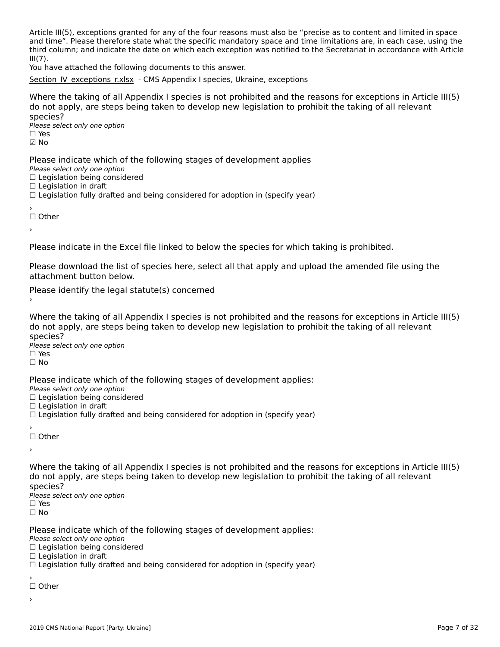Article III(5), exceptions granted for any of the four reasons must also be "precise as to content and limited in space and time". Please therefore state what the specific mandatory space and time limitations are, in each case, using the and time. The ase therefore state what the specific manuatory space and time immetions are, in each case, using the<br>It is column; and indicate the date on which each exception was notified to the Secretariat in accordance  $III(7)$ .

III(7).<br>You have attached the following documents to this answer.

[Section\\_IV\\_exceptions\\_r.xlsx](http://cms-ort.ort-production.linode.unep-wcmc.org/answers/2673658/documents/2119) - CMS Appendix I species, Ukraine, exceptions

Where the taking of all Appendix I species is not prohibited and the reasons for exceptions in Article III(5) where the taxing of an Appendix I species is not prombited and the reasons for exceptions in Articli<br>do not apply, are steps being taken to develop new legislation to prohibit the taking of all relevant

⊃peete∋.<br>Please select only one option ☑ No

Please indicate which of the following stages of development applies

ricase marcate winch o<br>Please select only one option

Prease select only one option<br>□ Legislation being considered

 $\Box$  Legislation in draft

□ Legislation in drait<br>□ Legislation fully drafted and being considered for adoption in (specify year)

′<br>□ Other

›

Please indicate in the Excel file linked to below the species for which taking is prohibited.

Please download the list of species [here](http://tinyurl.com/y4drhzs6), select all that apply and upload the amended file using the

Please identify the legal statute(s) concerned

Where the taking of all Appendix I species is not prohibited and the reasons for exceptions in Article III(5) where the taxing of an Appendix I species is not prombited and the reasons for exceptions in Articli<br>do not apply, are steps being taken to develop new legislation to prohibit the taking of all relevant

⊃peete∋.<br>Please select only one option

□ Yes<br>□ No

Please indicate which of the following stages of development applies:

ricase marcate winch o<br>Please select only one option

Prease select only one option<br>□ Legislation being considered

 $\Box$  Legislation in draft

□ Legislation in drait<br>□ Legislation fully drafted and being considered for adoption in (specify year)

☐ Other

›

Where the taking of all Appendix I species is not prohibited and the reasons for exceptions in Article III(5)<br>de not apply, are stans being taken to develop new legislation to probibit the taking of all relevants about apply, are steps being taken to develop new legislation to promint the taking or all relevant

⊃peete∋.<br>Please select only one option ים וכ<br>⊡ No

Please indicate which of the following stages of development applies: ∩ease marcace when or the<br>Please select only one option  $\Box$  Legislation being considered  $\Box$  Legislation in draft

□ Legislation in drait<br>□ Legislation fully drafted and being considered for adoption in (specify year)

☐ Other

›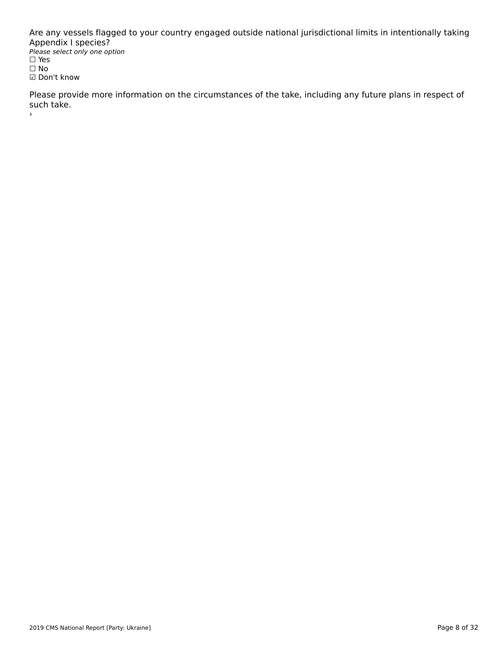Are any vessels flagged to your country engaged outside national jurisdictional limits in intentionally taking Appendix I species? Please select only one option *riease*<br>□ Yes ים וכ<br>⊡ No ☑ Don't know

Please provide more information on the circumstances of the take, including any future plans in respect of riease pro<br>such take.

›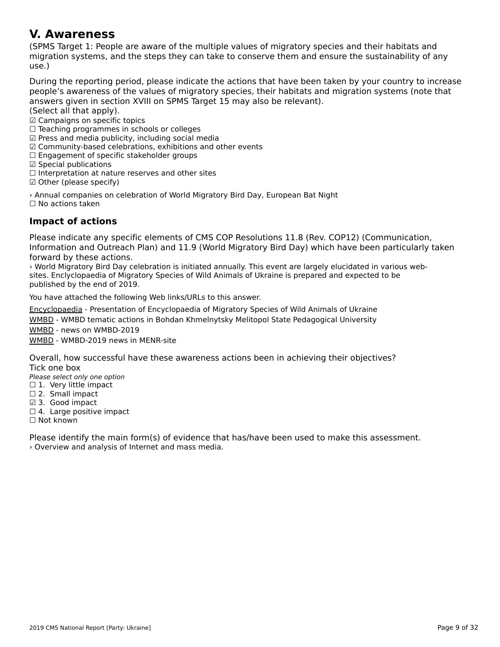#### **V. Awareness**

(SPMS Target 1: People are aware of the multiple values of migratory species and their habitats and migration systems, and the steps they can take to conserve them and ensure the sustainability of anymigration systems, and the steps they can take to conserve them and ensure the sustainability of any use.)

During the reporting period, please indicate the actions that have been taken by your country to increase people's aware liess of the Valley of Highatoly species, their happens and implation systems (note that answers given in section XVIII on SPMS Target 15 may also be relevant).

(Select all that apply).

ιθείς απιτιας αρρίγγ.<br>☑ Campaigns on specific topics

☐ Teaching programmes in schools or colleges

☑ Press and media publicity, including social media

⊠ Fress and media publicity, including social media<br>☑ Community-based celebrations, exhibitions and other events

⊠ Community-based celebrations, exmoltions<br>□ Engagement of specific stakeholder groups

□ Engagement or spec<br>☑ Special publications

☐ Interpretation at nature reserves and other sites

□ interpretation at natur<br>☑ Other (please specify)

› Annual companies on celebration of World Migratory Bird Day, European Bat Night ☐ No actions taken

### **Impact of actions**

Please indicate any specific elements of CMS COP Resolutions 11.8 (Rev. COP12) (Communication,<br>Information and Outreach Plan) and 11.9 (World Migratory Bird Day) which have been particularly taken mormation and Outleath Flah) and II.5 (World Migratory Bird Day) which have been particularly taken.<br>forward by these forward by these actions.

› World Migratory Bird Day celebration is initiated annually. This event are largely elucidated in various websites. Enclyclopaedia of Migratory Species of Wild Animaliy. This event are largely elucidated in various sites published by the end of 2019.

You have attached the following Web links/URLs to this answer.

Encyclopaedia - Presentation of Encyclopaedia of Migratory Species of Wild Animals of Ukraine

<u>And dependence</u> and succession of any supposence of inglessing operators in the running of one and<br>[WMBD - WMBD](https://menr.gov.ua/files/docs/Bioriznomanittya/Poluda_%D0%B5%D0%BD%D1%86%D0%B8%D0%BA%D0%BB%D0%BE%D0%BF%D0%B5%D0%B4%D1%96%D1%8F.ppt) tematic actions in Bohdan Khmelnytsky Melitopol State Pedagogical University

[WMBD](https://mdpu.org.ua/tematichni-zahodi-do-vsesvitnogo-dnya-migruyuchih-ptahiv/) - news on WMBD-2019

<u>WMBD</u> Reflection in the Level MENR-site

Overall, how successful have these awareness actions been in achieving their objectives? Tick one box

∩iek one box<br>Please select only one option

- $\Box$  1. Very little impact
- $□$  1. Very little line<br> $□$  2. Small impact
- $\boxtimes$  3. Good impact
- ⊠ 3. Good impact<br>□ 4. Large positive impact

☐ Not known

Please identify the main form(s) of evidence that has/have been used to make this assessment. › Overview and analysis of Internet and mass media.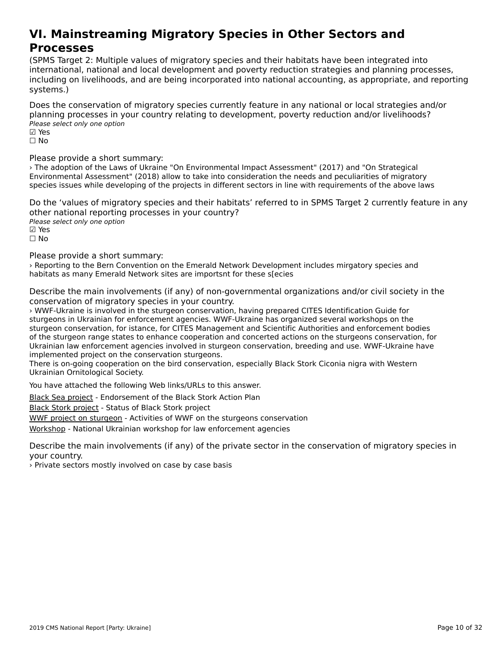#### **VI. Mainstreaming Migratory Species in Other Sectors andProcesses**<br>Processes **Processes**

(SPMS Target 2: Multiple values of migratory species and their habitats have been integrated intointernational, national and local development and poverty reduction strategies and planning processes, incernational, hational and local development and poverty reduction strategies and planning processes,<br>including on livelihoods, and are being incorporated into national accounting, as appropriate, and reporting systems.)

Does the conservation of migratory species currently feature in any national or local strategies and/or planning processes in your country relating to development, poverty reduction and/or livelihoods? pianning processes in y<br>Please select only one option

⊠ Yes<br>□ No

Please provide a short summary:

ricuse provide a short sammary.<br>The adoption of the Laws of Ukraine "On Environmental Impact Assessment" (2017) and "On Strategical Environmental Assessment" (2018) allow to take into consideration the needs and peculiarities of migratory species issues while developing of the projects in different sectors in line with requirements of the above laws

Do the 'values of migratory species and their habitats' referred to in SPMS Target 2 currently feature in any other national reporting processes in your country? ocrier rideform reporting<br>Please select only one option ☑ Yes☐ No

Please provide a short summary:

› Reporting to the Bern Convention on the Emerald Network Development includes mirgatory species and habitats as many Emerald Network sites are importsnt for these s[ecies

Describe the main involvements (if any) of non-governmental organizations and/or civil society in the conservation of migratory species in your country.

› WWF-Ukraine is involved in the sturgeon conservation, having prepared CITES Identification Guide for s www.fokraine is involved in the sturgeon conservation, having prepared CrrL5 identification Guide for<br>sturgeons in Ukrainian for enforcement agencies. WWF-Ukraine has organized several workshops on the sturgeons in Okrainian for enforcement agencies. WWI-OKraine has organized several workshops on the<br>sturgeon conservation, for istance, for CITES Management and Scientific Authorities and enforcement bodies of the sturgeon range states to enhance cooperation and concerted actions on the sturgeons conservation, for or the stargeon range states to enhance cooperation and concerted actions on the stargeons conservation, for<br>Ukrainian law enforcement agencies involved in sturgeon conservation, breeding and use. WWF-Ukraine have implemented project on the conservation sturgeons.

implemented project on the conservation sturgeons.<br>There is on-going cooperation on the bird conservation, especially Black Stork Ciconia nigra with Western Ukrainian Ornitological Society.

You have attached the following Web links/URLs to this answer.

Black Sea project - Endorsement of the Black Stork Action Plan

**[Black Stork projec](https://day.kyiv.ua/uk/article/cuspilstvo/dorozhnya-karta-dlya-chornogo-leleky)t** Endorsement of the Black Stork<br>Black Stork project - Status of Black Stork project

**EXERCT STEPS OF STATES OF STATE CONFIDENCE**<br>[WWF project on st](http://www.nas.gov.ua/UA/Messages/news/Pages/View.aspx?MessageID=4121)[urgeon](https://danube-sturgeons.org/one-year-of-project-work-with-fishing-communities-for-sturgeons-a-monitoring-visit-in-ukraine/) - Activities of WWF on the sturgeons conservation

[Workshop](https://danube-sturgeons.org/national-ukrainian-workshop-for-law-enforcement-agencies-on-the-legal-framework-for-protection-of-wild-sturgeons/) - National Ukrainian workshop for law enforcement agencies

Describe the main involvements (if any) of the private sector in the conservation of migratory species in your country.

› Private sectors mostly involved on case by case basis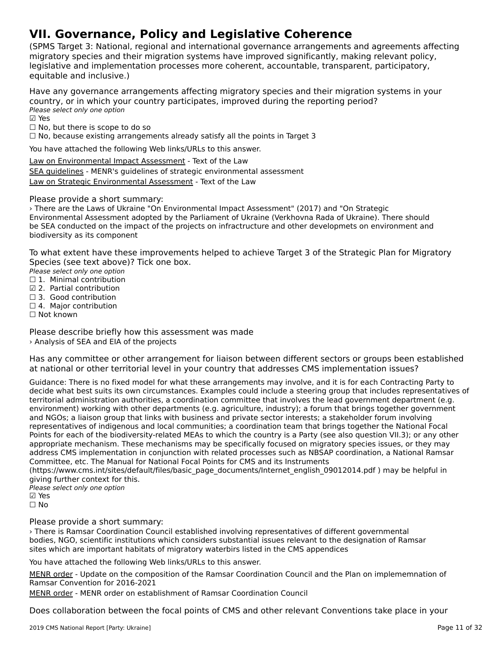# **VII. Governance, Policy and Legislative Coherence**

(SPMS Target 3: National, regional and international governance arrangements and agreements affecting migratory species and their migration systems have improved significantly, making relevant policy,lingratory species and their migration systems nave improved significantly, making relevant polic<sub>i</sub><br>legislative and implementation processes more coherent, accountable, transparent, participatory, equitable and inclusive.)

Have any governance arrangements affecting migratory species and their migration systems in your country, or in which your country participates, improved during the reporting period? country, or m wmcn you<br>Please select only one option

⊠ Yes

☐ No, but there is scope to do so

□ No, but there is scope to do so<br>□ No, because existing arrangements already satisfy all the points in Target 3

You have attached the following Web links/URLs to this answer.

[Law on Environmental Impact Assessment](https://zakon.rada.gov.ua/laws/show/2059-19) - Text of the Law **EXAL SACE INTERNATIONS INTERNATIONS CONSUMING THE CONSUMING SEA GUIDELINES**<br>[SEA guidelines](https://menr.gov.ua/files/docs/nakazy/2018/nakaz_296.pdf) - MENR's guidelines of strategic environmental assessment **[Law on Strategic Environmental Assessment](https://zakon3.rada.gov.ua/laws/show/2354-19)** - Text of the Law

#### Please provide a short summary:

› There are the Laws of Ukraine "On Environmental Impact Assessment" (2017) and "On Strategic Environmental Assessment adopted by the Parliament of Ukraine (Verkhovna Rada of Ukraine). There should be SEA conducted on the impact of the projects on infractructure and other developmets on environment and be SEA conducted on the imp<br>biodiversity as its component

To what extent have these improvements helped to achieve Target 3 of the Strategic Plan for Migratory Species (see text above)? Tick one box.

Please select only one option

- riease select only one option<br>□ 1. Minimal contribution
- $\boxtimes$  2. Partial contribution
- ⊠ 2. Fartial contribution<br>□ 3. Good contribution □ 5. Good contribution<br>□ 4. Major contribution
- ☐ Not known

Please describe briefly how this assessment was made › Analysis of SEA and EIA of the projects

Has any committee or other arrangement for liaison between different sectors or groups been established<br>at national or other territorial level in your country that addresses CMS implementation issues? at national or other territorial level in your country that addresses CMS implementation issues?

Guidance: There is no fixed model for what these arrangements may involve, and it is for each Contracting Party to decide what best suits its own circumstances. Examples could include a steering group that includes representatives of territorial administration authorities, a coordination committee that involves the lead government department (e.g. environment) working with other departments (e.g. agriculture, industry); a forum that brings together government and NGOs; a liaison group that links with business and private sector interests; a stakeholder forum involving representatives of indigenous and local communities; a coordination team that brings together the National Focal Points for each of the biodiversity-related MEAs to which the country is a Party (see also question VII.3); or any other appropriate mechanism. These mechanisms may be specifically focused on migratory species issues, or they may appropriate mechanism. These mechanisms may be specifically focused on imigratory species issues, or they may<br>address CMS implementation in conjunction with related processes such as NBSAP coordination, a National Ramsar Committee, etc. The Manual for National Focal Points for CMS and its Instruments

(https://www.cms.int/sites/default/files/basic\_page\_documents/Internet\_english\_09012014.pdf ) may be helpful in giving further context for this.

Please select only one option riease<br>☑ Yes ☐ No

Please provide a short summary:

› There is Ramsar Coordination Council established involving representatives of different governmental bodies, NGO, scientific institutions which considers substantial issues relevant to the designation of Ramsar boules, NGO, scientific institutions which considers substantial issues relevant to the di<br>sites which are important habitats of migratory waterbirs listed in the CMS appendices

You have attached the following Web links/URLs to this answer.

MENR order - Update on the composition of the Ramsar Coordination Council and the Plan on implememnation of **PILING OTCOL** - Opdate on the compt<br>[Ramsar Con](http://consultant.parus.ua/?doc=0A49W2ECAE)vention for 2016-2021

[MENR order](https://zakon.rada.gov.ua/rada/show/v0351737-12) - MENR order on establishment of Ramsar Coordination Council

Does collaboration between the focal points of CMS and other relevant Conventions take place in your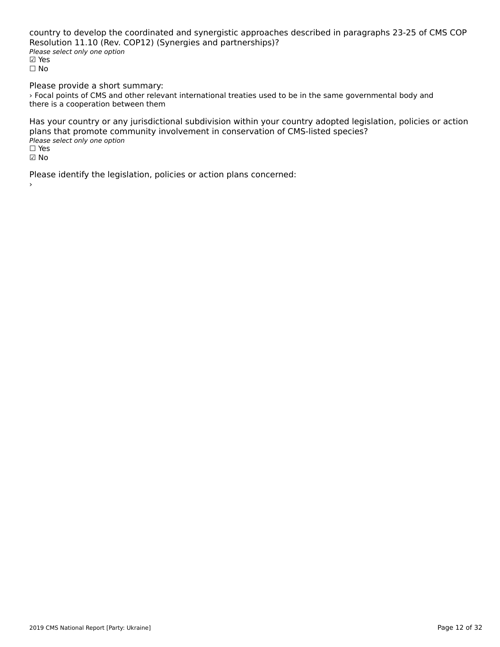country to develop the coordinated and synergistic approaches described in paragraphs 23-25 of CMS COP Resolution 11.10 (Rev. COP12) (Synergies and partnerships)? resolution *ifflied* (rev. )<br>Please select only one option ☑ Yes☐ No

Please provide a short summary: I lease provide a short summary.<br>> Focal points of CMS and other relevant international treaties used to be in the same governmental body and there is a cooperation between them

Has your country or any jurisdictional subdivision within your country adopted legislation, policies or action plans that promote community involvement in conservation of CMS-listed species? Please select only one option *riease*<br>□ Yes ☑ No

Please identify the legislation, policies or action plans concerned: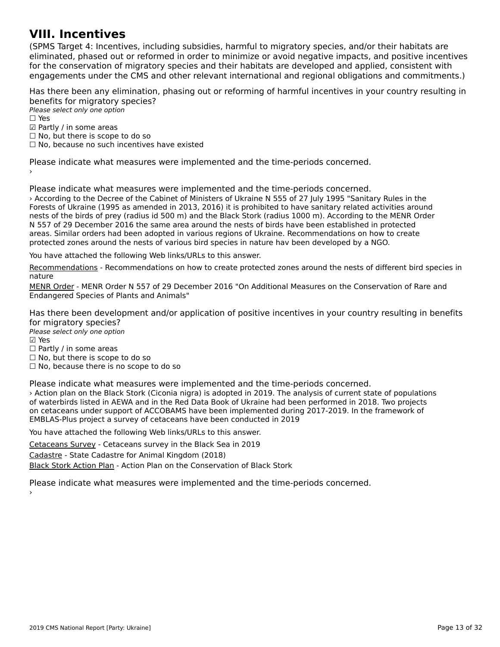#### **VIII. Incentives**

(SPMS Target 4: Incentives, including subsidies, harmful to migratory species, and/or their habitats are כדיום ומונסות iarget 4. Incentives, including subsidies, naminal to migratory species, and/or their nabitats are<br>eliminated, phased out or reformed in order to minimize or avoid negative impacts, and positive incentives eminiaced, phased out of reformed in order to minimize or avoid negative impacts, and positive incenti<br>for the conservation of migratory species and their habitats are developed and applied, consistent with engagements under the CMS and other relevant international and regional obligations and commitments.)

Has there been any elimination, phasing out or reforming of harmful incentives in your country resulting in benefits for migratory species?

Please select only one option ☐ Yes☑ Partly / in some areas⊠ raitiy / iii some areas<br>□ No, but there is scope to do so □ No, but there is scope to do so<br>□ No, because no such incentives have existed

Please indicate what measures were implemented and the time-periods concerned.

Please indicate what measures were implemented and the time-periods concerned. › According to the Decree of the Cabinet of Ministers of Ukraine N 555 of 27 July 1995 "Sanitary Rules in the Forests of Ukraine (1995 as amended in 2013, 2016) it is prohibited to have sanitary related activities around nests of the birds of prey (radius id 500 m) and the Black Stork (radius 1000 m). According to the MENR Order nests of the birds of prey (radius id 500 m) and the black Stork (radius 1000 m). According to the MENK G<br>N 557 of 29 December 2016 the same area around the nests of birds have been established in protected areas. Similar orders had been adopted in various regions of Ukraine. Recommendations on how to create areas. protected zones around the nests of various bird species in nature hav been developed by a NGO.

You have attached the following Web links/URLs to this answer.

[Recommendations](http://ecoethics.ru/wp-content/uploads/2017/02/Ohoronni-dilyanki-navkolo-gnizd-2017.pdf) - Recommendations on how to create protected zones around the nests of different bird species in

.........<br>MENR Order - MENR Order N 557 of 29 December 2016 "On Additional Measures on the Conservation of Rare and **ENLING OTGET** - MLING OTGET IN 337 OF 29 Dece<br>[Endangered](https://menr.gov.ua/files/uploads/nakaz_557_29122016.pdf) Species of Plants and Animals"

Has there been development and/or application of positive incentives in your country resulting in benefits rias there been develo<br>for migratory species?

Please select only one option ☑ Yes

☐ Partly / in some areas

□ Fartly / iii some areas<br>□ No, but there is scope to do so

□ No, but there is scope to do so<br>□ No, because there is no scope to do so

Please indicate what measures were implemented and the time-periods concerned.

› Action plan on the Black Stork (Ciconia nigra) is adopted in 2019. The analysis of current state of populationsof waterbirds listed in AEWA and in the Red Data Book of Ukraine had been performed in 2018. Two projects on cetaceans under support of ACCOBAMS have been implemented during 2017-2019. In the framework of EMBLAS-Plus project a survey of cetaceans have been conducted in 2019

You have attached the following Web links/URLs to this answer.

Cetaceans Survey - Cetaceans survey in the Black Sea in 2019

**[Cadastre - State C](https://marineconnection.org/aerial-survey-of-black-sea-dolphins-announced/)adastre for Animal Kingdom (2018)** 

**[Black Stork Action Plan](https://menr.gov.ua/files/docs/nakazy/2019/nakaz_102.pdf) - Action Plan on the Conservation of Black Stork** 

Please indicate what measures were implemented and the time-periods concerned.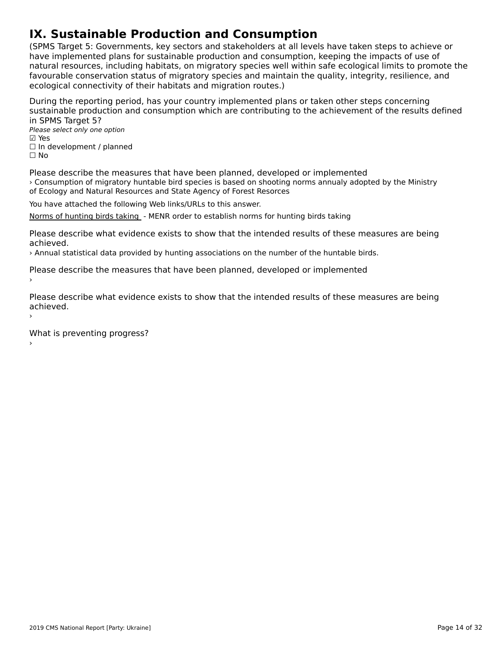# **IX. Sustainable Production and Consumption**

(SPMS Target 5: Governments, key sectors and stakeholders at all levels have taken steps to achieve or have implemented plans for sustainable production and consumption, keeping the impacts of use of natural resources, including habitats, on migratory species well within safe ecological limits to promote the favourable conservation status of migratory species and maintain the quality, integrity, resilience, and ecological connectivity of their habitats and migration routes.)

During the reporting period, has your country implemented plans or taken other steps concerning sustainable production and consumption which are contributing to the achievement of the results defined in SPMS Target 5?in SPMS Target 5?

Please select only one option ☑ Yes☐ In development / planned ☐ No

Please describe the measures that have been planned, developed or implemented › Consumption of migratory huntable bird species is based on shooting norms annualy adopted by the Ministry of Ecology and Natural Resources and State Agency of Forest Resorces

You have attached the following Web links/URLs to this answer.

[Norms of hunting birds taking](https://zakon.rada.gov.ua/laws/show/z0861-18) - MENR order to establish norms for hunting birds taking

Please describe what evidence exists to show that the intended results of these measures are being

› Annual statistical data provided by hunting associations on the number of the huntable birds.

Please describe the measures that have been planned, developed or implemented  $\,$ 

Please describe what evidence exists to show that the intended results of these measures are being achieved.›

What is preventing progress?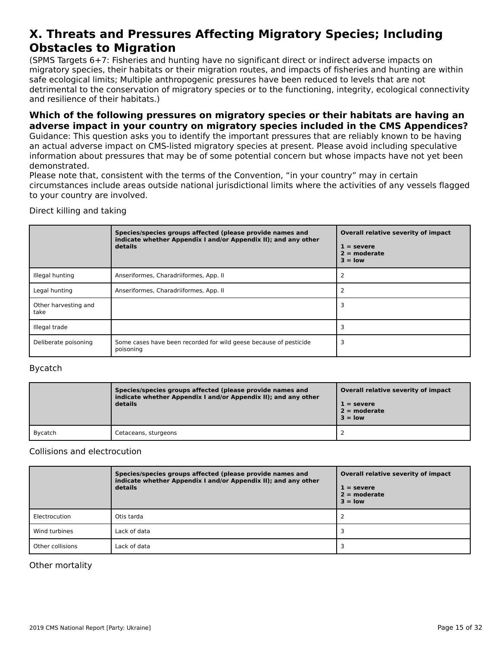#### **X. Threats and Pressures Affecting Migratory Species; Including Obstacles to MigrationObstacles to Migration**

(SPMS Targets 6+7: Fisheries and hunting have no significant direct or indirect adverse impacts onוסו כאיראכן, וואס הארטייט וואס ומילכל וואס הארטייט ווערכל מסיפור וואס מארטייט ווערכל מסיפור וואס מארטייט ווערכ<br>migratory species, their habitats or their migration routes, and impacts of fisheries and hunting are within migratory species, their nabitats of their migration routes, and impacts or ilsheries and numing a<br>safe ecological limits; Multiple anthropogenic pressures have been reduced to levels that are not sale ecological limits, Multiple antihopogenic pressures have been reduced to levels that are not<br>detrimental to the conservation of migratory species or to the functioning, integrity, ecological connectivity and resilience of their habitats.)

#### **Which of the following pressures on migratory species or their habitats are having an adverse impact in your country on migratory species included in the CMS Appendices?**

Guidance: This question asks you to identify the important pressures that are reliably known to be having an actual adverse impact on CMS-listed migratory species at present. Please avoid including speculative an actual auverse impact on civis-listed migratory species at present. Flease avoid including speculative<br>information about pressures that may be of some potential concern but whose impacts have not yet been demonstrated.

Please note that, consistent with the terms of the Convention, "in your country" may in certain circumstances include areas outside national jurisdictional limits where the activities of any vessels flagged ch curristances include areas<br>to your country are involved.

Direct killing and taking

|                              | Species/species groups affected (please provide names and<br>indicate whether Appendix I and/or Appendix II); and any other<br>details | Overall relative severity of impact<br>$1 =$ severe<br>$2 =$ moderate<br>$3 =$ low |
|------------------------------|----------------------------------------------------------------------------------------------------------------------------------------|------------------------------------------------------------------------------------|
| Illegal hunting              | Anseriformes, Charadriiformes, App. II                                                                                                 |                                                                                    |
| Legal hunting                | Anseriformes, Charadriiformes, App. II                                                                                                 |                                                                                    |
| Other harvesting and<br>take |                                                                                                                                        |                                                                                    |
| Illegal trade                |                                                                                                                                        |                                                                                    |
| Deliberate poisoning         | Some cases have been recorded for wild geese because of pesticide<br>poisoning                                                         |                                                                                    |

### Bycatch

|         | Species/species groups affected (please provide names and<br>indicate whether Appendix I and/or Appendix II); and any other<br>details | Overall relative severity of impact<br>$1 =$ severe<br>$2 =$ moderate<br>$3 =$ low |
|---------|----------------------------------------------------------------------------------------------------------------------------------------|------------------------------------------------------------------------------------|
| Bycatch | Cetaceans, sturgeons                                                                                                                   |                                                                                    |

#### Collisions and electrocution

|                  | Species/species groups affected (please provide names and<br>indicate whether Appendix I and/or Appendix II); and any other<br>details | Overall relative severity of impact<br>$1 =$ severe<br>$2 =$ moderate<br>$3 = low$ |
|------------------|----------------------------------------------------------------------------------------------------------------------------------------|------------------------------------------------------------------------------------|
| Electrocution    | Otis tarda                                                                                                                             |                                                                                    |
| Wind turbines    | Lack of data                                                                                                                           |                                                                                    |
| Other collisions | Lack of data                                                                                                                           |                                                                                    |

#### Other mortality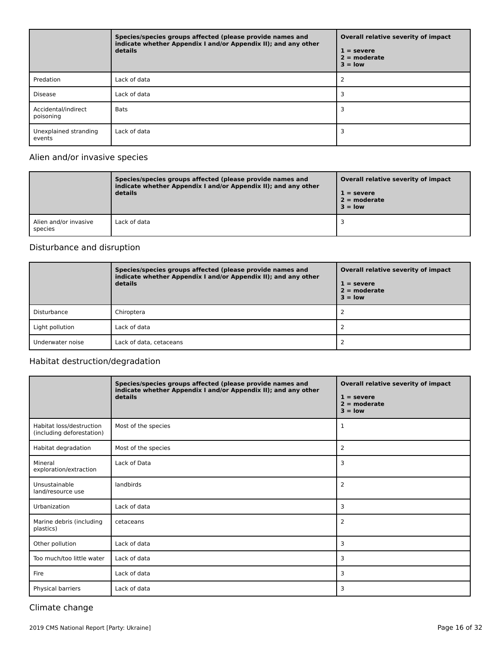|                                  | Species/species groups affected (please provide names and<br>indicate whether Appendix I and/or Appendix II); and any other<br>details | Overall relative severity of impact<br>$1 =$ severe<br>$2 = moderate$<br>$3 = low$ |
|----------------------------------|----------------------------------------------------------------------------------------------------------------------------------------|------------------------------------------------------------------------------------|
| Predation                        | Lack of data                                                                                                                           |                                                                                    |
| <b>Disease</b>                   | Lack of data                                                                                                                           |                                                                                    |
| Accidental/indirect<br>poisoning | <b>Bats</b>                                                                                                                            |                                                                                    |
| Unexplained stranding<br>events  | Lack of data                                                                                                                           |                                                                                    |

#### Alien and/or invasive species

|                                  | Species/species groups affected (please provide names and<br>indicate whether Appendix I and/or Appendix II); and any other<br>details | Overall relative severity of impact<br>$1 =$ severe<br>$2 =$ moderate<br>$3 =$ low |
|----------------------------------|----------------------------------------------------------------------------------------------------------------------------------------|------------------------------------------------------------------------------------|
| Alien and/or invasive<br>species | Lack of data                                                                                                                           |                                                                                    |

#### Disturbance and disruption

|                  | Species/species groups affected (please provide names and<br>indicate whether Appendix I and/or Appendix II); and any other<br>details | Overall relative severity of impact<br>$1 =$ severe<br>$2 =$ moderate<br>$3 =$ low |
|------------------|----------------------------------------------------------------------------------------------------------------------------------------|------------------------------------------------------------------------------------|
| Disturbance      | Chiroptera                                                                                                                             |                                                                                    |
| Light pollution  | Lack of data                                                                                                                           |                                                                                    |
| Underwater noise | Lack of data, cetaceans                                                                                                                |                                                                                    |

#### Habitat destruction/degradation

|                                                       | Species/species groups affected (please provide names and<br>indicate whether Appendix I and/or Appendix II); and any other<br>details | Overall relative severity of impact<br>$1 =$ severe<br>$2 = moderate$<br>$3 = low$ |
|-------------------------------------------------------|----------------------------------------------------------------------------------------------------------------------------------------|------------------------------------------------------------------------------------|
| Habitat loss/destruction<br>(including deforestation) | Most of the species                                                                                                                    | 1                                                                                  |
| Habitat degradation                                   | Most of the species                                                                                                                    | 2                                                                                  |
| Mineral<br>exploration/extraction                     | Lack of Data                                                                                                                           | 3                                                                                  |
| Unsustainable<br>land/resource use                    | landbirds                                                                                                                              | 2                                                                                  |
| Urbanization                                          | Lack of data                                                                                                                           | 3                                                                                  |
| Marine debris (including<br>plastics)                 | cetaceans                                                                                                                              | 2                                                                                  |
| Other pollution                                       | Lack of data                                                                                                                           | 3                                                                                  |
| Too much/too little water                             | Lack of data                                                                                                                           | 3                                                                                  |
| Fire                                                  | Lack of data                                                                                                                           | 3                                                                                  |
| Physical barriers                                     | Lack of data                                                                                                                           | 3                                                                                  |

#### Climate change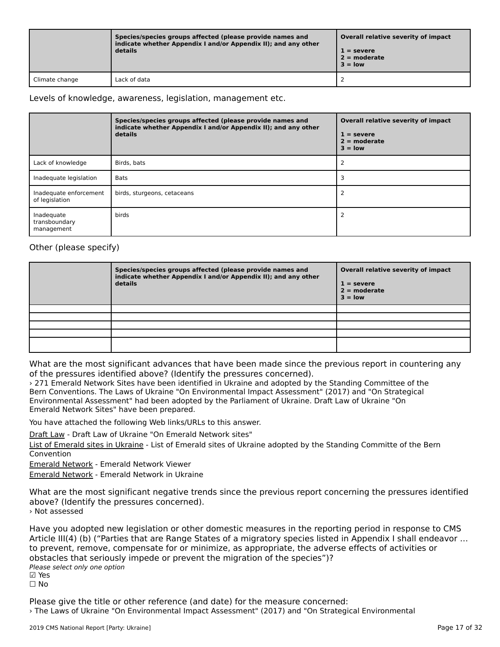|                | Species/species groups affected (please provide names and<br>indicate whether Appendix I and/or Appendix II); and any other<br>details | Overall relative severity of impact<br>$1 =$ severe<br>$2 =$ moderate<br>$3 =$ low |
|----------------|----------------------------------------------------------------------------------------------------------------------------------------|------------------------------------------------------------------------------------|
| Climate change | Lack of data                                                                                                                           |                                                                                    |

#### Levels of knowledge, awareness, legislation, management etc.

|                                           | Species/species groups affected (please provide names and<br>indicate whether Appendix I and/or Appendix II); and any other<br>details | Overall relative severity of impact<br>$1 =$ severe<br>$2 =$ moderate<br>$3 =$ low |
|-------------------------------------------|----------------------------------------------------------------------------------------------------------------------------------------|------------------------------------------------------------------------------------|
| Lack of knowledge                         | Birds, bats                                                                                                                            |                                                                                    |
| Inadequate legislation                    | <b>Bats</b>                                                                                                                            |                                                                                    |
| Inadequate enforcement<br>of legislation  | birds, sturgeons, cetaceans                                                                                                            |                                                                                    |
| Inadequate<br>transboundary<br>management | birds                                                                                                                                  |                                                                                    |

#### Other (please specify)

| Species/species groups affected (please provide names and<br>indicate whether Appendix I and/or Appendix II); and any other<br>details | Overall relative severity of impact<br>$1 =$ severe<br>$2 =$ moderate<br>$3 = low$ |
|----------------------------------------------------------------------------------------------------------------------------------------|------------------------------------------------------------------------------------|
|                                                                                                                                        |                                                                                    |
|                                                                                                                                        |                                                                                    |
|                                                                                                                                        |                                                                                    |
|                                                                                                                                        |                                                                                    |
|                                                                                                                                        |                                                                                    |

What are the most significant advances that have been made since the previous report in countering any what are the most significant advances that have been made since the pressures identified above? (Identify the pressures concerned).

› 271 Emerald Network Sites have been identified in Ukraine and adopted by the Standing Committee of the Bern Conventions. The Laws of Ukraine "On Environmental Impact Assessment" (2017) and "On Strategical Bern conventions. The Laws of Okraine "On Environmental impact Assessment" (2017) and "On Strate<br>Environmental Assessment" had been adopted by the Parliament of Ukraine. Draft Law of Ukraine "On

You have attached the following Web links/URLs to this answer.

[Draft Law](https://menr.gov.ua/projects/150/) - Draft Law of Ukraine "On Emerald Network sites"

**EXALMAN** STAR Law of Shearts for Emerald restromances<br>[List of Emerald sites in Ukraine](https://rm.coe.int/updated-list-of-officially-adopted-emerald-sites-november-2018-/16808f184d) - List of Emerald sites of Ukraine adopted by the Standing Committe of the Bern Convention

Emerald Network - Emerald Network Viewer

**[Emerald Network](http://emerald.eea.europa.eu) - Emerald Network from Divident**<br>Emerald Network - Emerald Network in Ukraine

What are the most significant negative trends since the previous report concerning the pressures identified what are the most significant negative tref<br>above? (Identify the pressures concerned). › Not assessed

Have you adopted new legislation or other domestic measures in the reporting period in response to CMS<br>Article III(4) (b) ("Parties that are Penne States of a migratory species listed in Appendix I shall endeavor Article III(4) (b) ("Parties that are Range States of a migratory species listed in Appendix I shall endeavor ... Article in(4) (b) (Traities that are Narge States or a migratory species instead in Appendix Fishan ender<br>to prevent, remove, compensate for or minimize, as appropriate, the adverse effects of activities or obstacles that seriously impede or prevent the migration of the species")? Please select only one option riease<br>☑ Yes ☐ No

Please give the title or other reference (and date) for the measure concerned: › The Laws of Ukraine "On Environmental Impact Assessment" (2017) and "On Strategical Environmental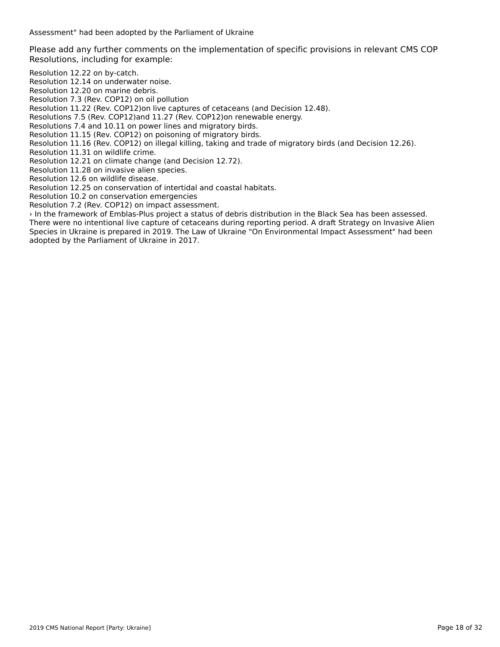Assessment" had been adopted by the Parliament of Ukraine

Please add any further comments on the implementation of specific provisions in relevant CMS COP Resolutions, including for example:

Resolution 12.22 on by-catch.

Resolution 12.14 on underwater noise.

Resolution 12.20 on marine debris.

Resolution 7.3 (Rev. COP12) on oil pollution

Resolution 11.22 (Rev. COP12)on live captures of cetaceans (and Decision 12.48).

Resolutions 7.5 (Rev. COP12)and 11.27 (Rev. COP12)on renewable energy.

Resolutions 7.4 and 10.11 on power lines and migratory birds.

Resolution 11.15 (Rev. COP12) on poisoning of migratory birds.

Resolution 11.16 (Rev. COP12) on illegal killing, taking and trade of migratory birds (and Decision 12.26).

Resolution 11.31 on wildlife crime.

Resolution 12.21 on climate change (and Decision 12.72).

Resolution 11.28 on invasive alien species.

Resolution 12.6 on wildlife disease.

Resolution 12.25 on conservation of intertidal and coastal habitats. Resolution 10.2 on conservation emergencies

Resolution 7.2 (Rev. COP12) on impact assessment.

› In the framework of Emblas-Plus project a status of debris distribution in the Black Sea has been assessed. There were no intentional live capture of cetaceans during reporting period. A draft Strategy on Invasive Alien<br>There were no intentional live capture of cetaceans during reporting period. A draft Strategy on Invasive Alie Species in Ukraine is prepared in 2019. The Law of Ukraine "On Environmental Impact Assessment" had been Species in Oxialite is prepared in 2019. The La<br>adopted by the Parliament of Ukraine in 2017.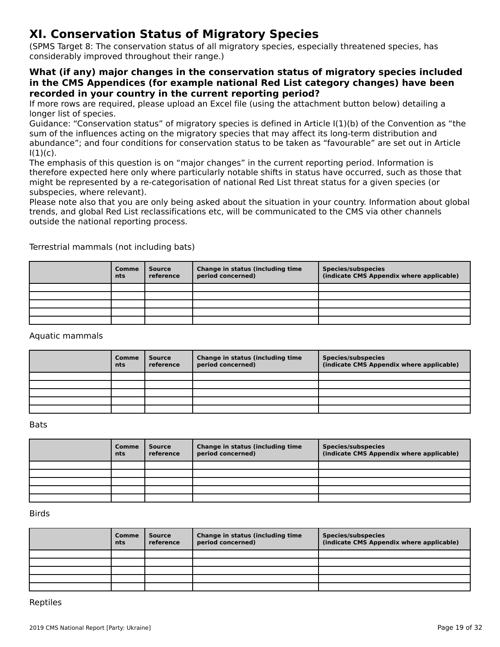# **XI. Conservation Status of Migratory Species**

(SPMS Target 8: The conservation status of all migratory species, especially threatened species, has considerably improved throughout their range.)

#### **What (if any) major changes in the conservation status of migratory species included in the CMS Appendices (for example national Red List category changes) have been recorded in your country in the current reporting period?**

If more rows are required, please upload an Excel file (using the attachment button below) detailing a<br>If more rows are required, please upload an Excel file (using the attachment button below) detailing a

fonger hat or species.<br>Guidance: "Conservation status" of migratory species is defined in Article I(1)(b) of the Convention as "the<br>sum of the influences action on the migratory species that may affect its long-term distri sum of the influences acting on the migratory species that may affect its long-term distribution and sum or the inhuences acting on the migratory species that may arrect its long-term distribution and<br>abundance"; and four conditions for conservation status to be taken as "favourable" are set out in Article<br>

ו, ו.,<br>The emphasis of this question is on "major changes" in the current reporting period. Information is the emphasis of this question is on thajor changes. In the current reporting period: imomiation is<br>therefore expected here only where particularly notable shifts in status have occurred, such as those that might be represented by a re-categorisation of national Red List threat status for a given species (or subspecies, where relevant).

subspecies, where relevant).<br>Please note also that you are only being asked about the situation in your country. Information about global trends, and global Red List reclassifications etc, will be communicated to the CMS via other channels outside the national reporting process.

| Comme<br>nts | Source<br>reference | Change in status (including time<br>period concerned) | <b>Species/subspecies</b><br>(indicate CMS Appendix where applicable) |
|--------------|---------------------|-------------------------------------------------------|-----------------------------------------------------------------------|
|              |                     |                                                       |                                                                       |
|              |                     |                                                       |                                                                       |
|              |                     |                                                       |                                                                       |
|              |                     |                                                       |                                                                       |
|              |                     |                                                       |                                                                       |

Terrestrial mammals (not including bats)

#### Aquatic mammals

| <b>Comme</b><br>nts | <b>Source</b><br>reference | Change in status (including time<br>period concerned) | <b>Species/subspecies</b><br>(indicate CMS Appendix where applicable) |
|---------------------|----------------------------|-------------------------------------------------------|-----------------------------------------------------------------------|
|                     |                            |                                                       |                                                                       |
|                     |                            |                                                       |                                                                       |
|                     |                            |                                                       |                                                                       |
|                     |                            |                                                       |                                                                       |
|                     |                            |                                                       |                                                                       |

#### Bats

| Comme<br><b>nts</b> | <b>Source</b><br>reference | Change in status (including time<br>period concerned) | <b>Species/subspecies</b><br>(indicate CMS Appendix where applicable) |
|---------------------|----------------------------|-------------------------------------------------------|-----------------------------------------------------------------------|
|                     |                            |                                                       |                                                                       |
|                     |                            |                                                       |                                                                       |
|                     |                            |                                                       |                                                                       |
|                     |                            |                                                       |                                                                       |
|                     |                            |                                                       |                                                                       |

Birds

| <b>Comme</b><br>nts | Source<br>reference | Change in status (including time<br>period concerned) | <b>Species/subspecies</b><br>(indicate CMS Appendix where applicable) |
|---------------------|---------------------|-------------------------------------------------------|-----------------------------------------------------------------------|
|                     |                     |                                                       |                                                                       |
|                     |                     |                                                       |                                                                       |
|                     |                     |                                                       |                                                                       |
|                     |                     |                                                       |                                                                       |
|                     |                     |                                                       |                                                                       |

Reptiles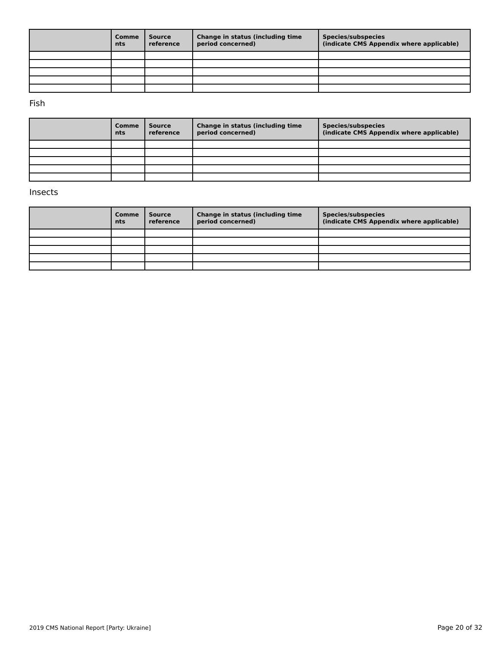| Comme<br>nts | <b>Source</b><br>reference | Change in status (including time<br>period concerned) | Species/subspecies<br>(indicate CMS Appendix where applicable) |
|--------------|----------------------------|-------------------------------------------------------|----------------------------------------------------------------|
|              |                            |                                                       |                                                                |
|              |                            |                                                       |                                                                |
|              |                            |                                                       |                                                                |
|              |                            |                                                       |                                                                |
|              |                            |                                                       |                                                                |

Fish

| Comme<br>nts | Source<br>reference | Change in status (including time<br>period concerned) | Species/subspecies<br>(indicate CMS Appendix where applicable) |
|--------------|---------------------|-------------------------------------------------------|----------------------------------------------------------------|
|              |                     |                                                       |                                                                |
|              |                     |                                                       |                                                                |
|              |                     |                                                       |                                                                |
|              |                     |                                                       |                                                                |
|              |                     |                                                       |                                                                |

#### Insects

| Comme<br><b>nts</b> | Source<br>reference | Change in status (including time<br>period concerned) | <b>Species/subspecies</b><br>(indicate CMS Appendix where applicable) |
|---------------------|---------------------|-------------------------------------------------------|-----------------------------------------------------------------------|
|                     |                     |                                                       |                                                                       |
|                     |                     |                                                       |                                                                       |
|                     |                     |                                                       |                                                                       |
|                     |                     |                                                       |                                                                       |
|                     |                     |                                                       |                                                                       |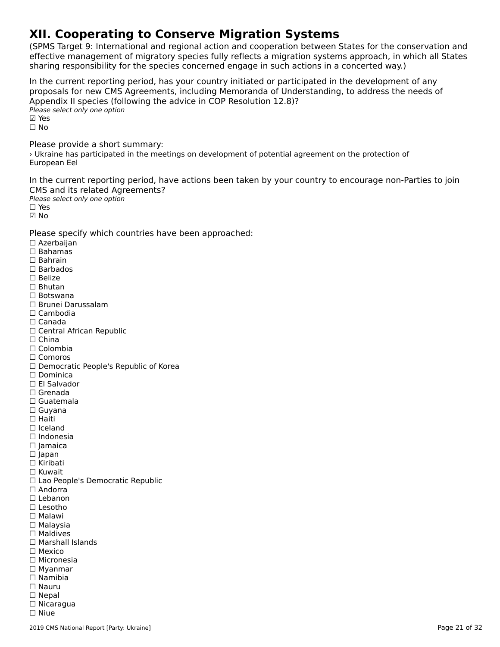# **XII. Cooperating to Conserve Migration Systems**

(SPMS Target 9: International and regional action and cooperation between States for the conservation and effective management of migratory species fully reflects a migration systems approach, in which all States sharing responsibility for the species concerned engage in such actions in a concerted way.)

In the current reporting period, has your country initiated or participated in the development of any In the current reporting period, has your country initiated or participated in the development or any<br>proposals for new CMS Agreements, including Memoranda of Understanding, to address the needs of ∧pperial∧ if species (for<br>Please select only one option ⊠ Yes ☐ NoPlease provide a short summary:

› Ukraine has participated in the meetings on development of potential agreement on the protection of European Eel

In the current reporting period, have actions been taken by your country to encourage non-Parties to join CMS and its related Agreements?

**DIPLEATE CONTROLLED THE PLEASE Select only one option** ☑ No

Please specify which countries have been approached:

☐ Azerbaijan  $\square$  Bahamas ☐ Bahrain☐ Barbados ☐ Belize☐ Bhutan ☐ Botswana ☐ Brunei Darussalam☐ Cambodia☐ Canada☐ Central African Republic $\Box$  China ☐ Colombia ☐ Comoros □ Comoros<br>□ Democratic People's Republic of Korea □ Dominica<br>□ Fl Salvador ☐ Grenada□ Grenaua<br>□ Guatemala ☐ Guyana☐ Haiti□ Tiaiti<br>□ Iceland ☐ Indonesia☐ Jamaica □ Jamar<br>□ Japan □ Japan<br>□ Kiribati ☐ Kuwait □ Rawait<br>□ Lao People's Democratic Republic □ Andorra<br>□ Lebanon ☐ Lesotho☐ Malawi ☐ Malaysia☐ Maldives☐ Marshall Islands ☐ Mexico☐ Micronesia ☐ Myanmar $\Box$  Myanmar ☐ Namibia☐ Nauru☐ Nepal□ Nepar<br>□ Nicaragua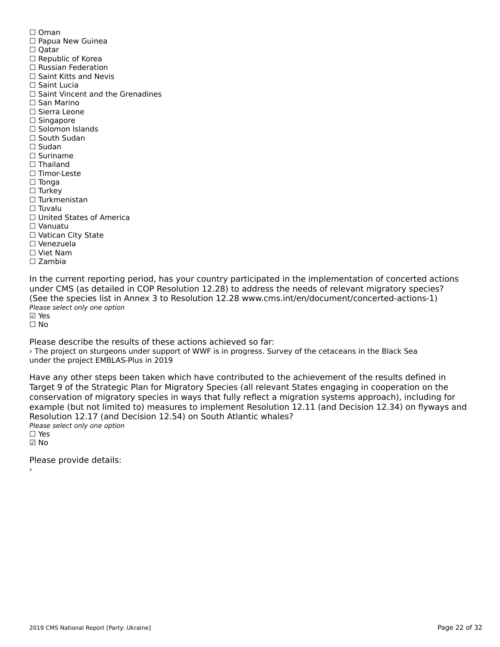☐ Oman☐ Papua New Guinea □ Oatar ☐ Republic of Korea□ Republic of Rorea<br>□ Russian Federation □ Saint Kitts and Nevis ☐ Saint Lucia□ Saint Vincent and the Grenadines ☐ San Marino☐ Sierra Leone □ Sierra Leo<br>□ Singapore □ Singapore<br>□ Solomon Islands ☐ South Sudan ☐ Sudan☐ Suriname $\Box$  Thailand ☐ Timor-Leste☐ Tonga ☐ Turkey ☐ Turkmenistan $\Box$  Tuvalu ☐ United States of America☐ Vanuatu ☐ Vatican City State☐ Venezuela ☐ Viet Nam ☐ Zambia

In the current reporting period, has your country participated in the implementation of concerted actions (See the species list in Annex 3 to Resolution 12.28 www.cms.int/en/document/concerted-actions-1) Please select only one option nease<br>☑ Yes

☐ No

Please describe the results of these actions achieved so far: › The project on sturgeons under support of WWF is in progress. Survey of the cetaceans in the Black Sea under the project EMBLAS-Plus in 2019

Have any other steps been taken which have contributed to the achievement of the results defined in Target 9 of the Strategic Plan for Migratory Species (all relevant States engaging in cooperation on the rarget 9 of the Strategic Flam for migratory Species (all relevant States engaging in cooperation on the<br>conservation of migratory species in ways that fully reflect a migration systems approach), including for example (but not limited to) measures to implement Resolution 12.11 (and Decision 12.34) on flyways and Resolution 12.17 (and Decision 12.54) on South Atlantic whales? ∩esoration 12.17 (and E<br>Please select only one option

☑ No

Please provide details: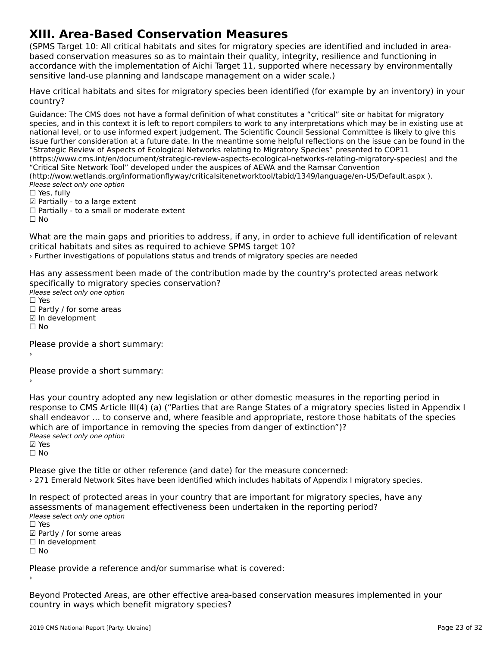# **XIII. Area-Based Conservation Measures**

(SPMS Target 10: All critical habitats and sites for migratory species are identified and included in area $b_{\rm B}$  and a set  $c_{\rm B}$  as the measures so as the main their quality,  $\frac{1}{2}$  and function  $\frac{1}{2}$  and function  $\frac{1}{2}$  in  $\frac{1}{2}$ based conservation measures so as to maintain their quality, integrity, resilience and functioning in based conservation measures so as to maintain their quality, integrity, resilience and runctioning in<br>accordance with the implementation of Aichi Target 11, supported where necessary by environmentally accordance with the implementation or Alchi Target 11, supported where he<br>sensitive land-use planning and landscape management on a wider scale.)

Have critical habitats and sites for migratory species been identified (for example by an inventory) in your country?

Guidance: The CMS does not have a formal definition of what constitutes a "critical" site or habitat for migratoryspecies, and in this context it is left to report compilers to work to any interpretations which may be in existing use at species, and in this context it is left to report compliers to work to any interpretations which may be in existing use<br>national level, or to use informed expert judgement. The Scientific Council Sessional Committee is lik issue further consideration at a future date. In the meantime some helpful reflections on the issue can be found in the "Strategic Review of Aspects of Ecological Networks relating to Migratory Species" presented to COP11 (https://www.cms.int/en/document/strategic-review-aspects-ecological-networks-relating-migratory-species) and the (https://www.critis.int/en/document/strategic-review-aspects-ecological-hetworks-relating-inigratory-species) a<br>"Critical Site Network Tool" developed under the auspices of AEWA and the Ramsar Convention (http://wow.wetlands.org/informationflyway/criticalsitenetworktool/tabid/1349/language/en-US/Default.aspx). Please select only one option ☐ Yes, fully $\Box$  Yes, fully

□ Tes, Tuny<br>☑ Partially - to a large extent

☐ Partially - to a small or moderate extent

☐ No

What are the main gaps and priorities to address, if any, in order to achieve full identification of relevant what are the main gaps and priorities to address, if any, in order<br>critical habitats and sites as required to achieve SPMS target 10? › Further investigations of populations status and trends of migratory species are needed

Has any assessment been made of the contribution made by the country's protected areas network rias any assessment been made or the contribi<br>specifically to migratory species conservation? Speemeany to migrator<sub>3</sub><br>Please select only one option  $\square$  Yes □ Partly / for some areas ☑ In development ☐ No

Please provide a short summary:›

Please provide a short summary:›

Has your country adopted any new legislation or other domestic measures in the reporting period in<br>response to CMS Article III(4) (a) ("Parties that are Pappe States of a migratory species listed in Appendix I response to CMS Article III(4) (a) ("Parties that are Range States of a migratory species listed in Appendix I shall endeavor … to conserve and, where feasible and appropriate, restore those habitats of the species shall endeavor ... to conserve and, where reasible and appropriate, restore the<br>which are of importance in removing the species from danger of extinction")? winch are or importance<br>Please select only one option ☑ Yes

☐ No

Please give the title or other reference (and date) for the measure concerned: › 271 Emerald Network Sites have been identified which includes habitats of Appendix I migratory species.

In respect of protected areas in your country that are important for migratory species, have any

arriespect or protected areas in your country that are important for migratory species<br>assessments of management effectiveness been undertaken in the reporting period? assessments of manage<br>Please select only one option ☐ Yes

□ ies<br>☑ Partly / for some areas

☐ In development

☐ No

Please provide a reference and/or summarise what is covered:

Beyond Protected Areas, are other effective area-based conservation measures implemented in your country in ways which benefit migratory species?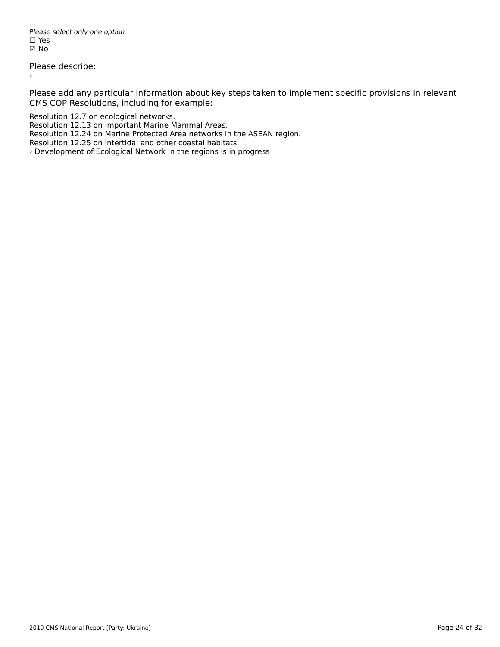Please select only one option *riease*<br>□ Yes ☑ No

Please describe:

›

Please add any particular information about key steps taken to implement specific provisions in relevant CMS COP Resolutions, including for example:

Resolution 12.7 on ecological networks.

Resolution 12.13 on Important Marine Mammal Areas.

Resolution 12.24 on Marine Protected Area networks in the ASEAN region.

Resolution 12.25 on intertidal and other coastal habitats.

› Development of Ecological Network in the regions is in progress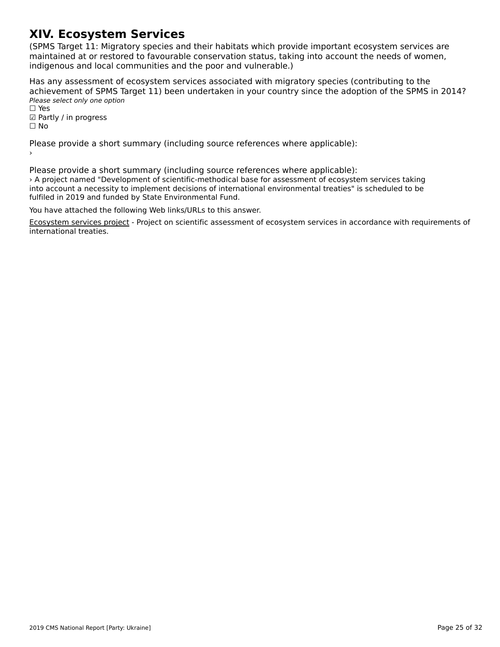# **XIV. Ecosystem Services**

(SPMS Target 11: Migratory species and their habitats which provide important ecosystem services are maintained at or restored to favourable conservation status, taking into account the needs of women, indification at of restored to ravourable conservation status, taking<br>indigenous and local communities and the poor and vulnerable.)

Has any assessment of ecosystem services associated with migratory species (contributing to the achievement of SPMS Target 11) been undertaken in your country since the adoption of the SPMS in 2014? active verticite of 51 145 14<br>Please select only one option

rıease<br>□ Yes ☑ Partly / in progress

☐ No

Please provide a short summary (including source references where applicable):

Please provide a short summary (including source references where applicable): › A project named "Development of scientific-methodical base for assessment of ecosystem services taking into account a necessity to implement decisions of international environmental treaties" is scheduled to be fulfiled in 2019 and funded by State Environmental Fund.

You have attached the following Web links/URLs to this answer.

Ecosystem services project - Project on scientific assessment of ecosystem services in accordance with requirements of [international treaties.](https://smarttender.biz/publichni-zakupivli-prozorro/4372445/)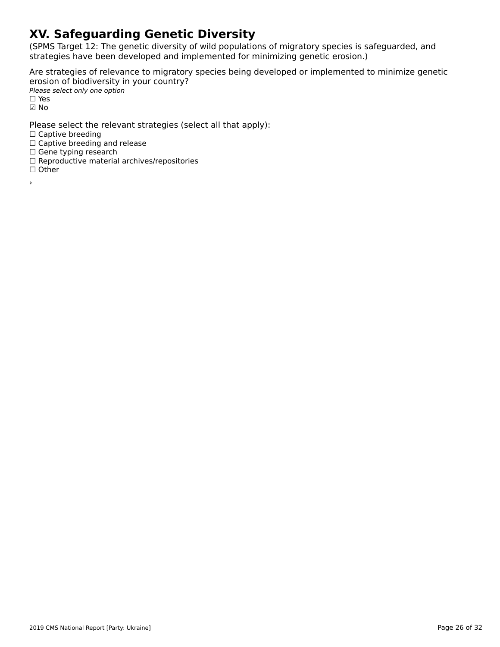# **XV. Safeguarding Genetic Diversity**

(SPMS Target 12: The genetic diversity of wild populations of migratory species is safeguarded, and strategies have been developed and implemented for minimizing genetic erosion.)

Are strategies of relevance to migratory species being developed or implemented to minimize genetic erosion of biodiversity in your country? Please select only one option

*riease*<br>□ Yes ☑ No

Please select the relevant strategies (select all that apply):

∩ Captive breeding

□ Captive breeding<br>□ Captive breeding and release

□ Captive breeding and<br>□ Gene typing research

□ Gene typing research<br>□ Reproductive material archives/repositories

☐ Other

›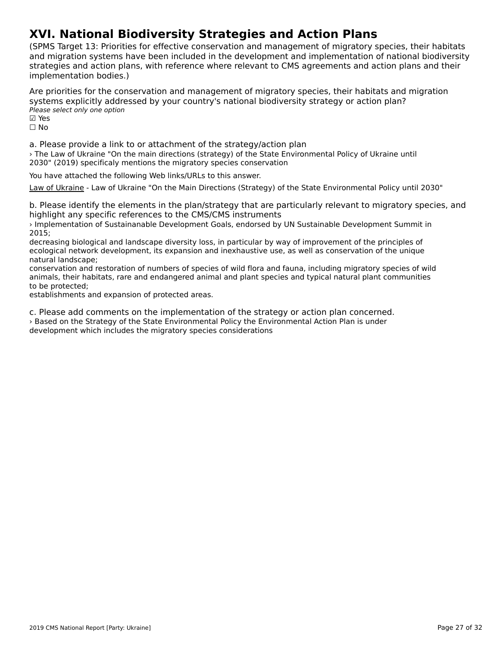### **XVI. National Biodiversity Strategies and Action Plans**

(SPMS Target 13: Priorities for effective conservation and management of migratory species, their habitats and migration systems have been included in the development and implementation of national biodiversity and imgradon systems have been included in the development and implementation or national biodiversi<br>strategies and action plans, with reference where relevant to CMS agreements and action plans and their implementation bodies.)

Are priorities for the conservation and management of migratory species, their habitats and migration systems explicitly addressed by your country's national biodiversity strategy or action plan? Please select only one option ☑ Yes⊠ Yes

☐ No

a. Please provide a link to or attachment of the strategy/action plan › The Law of Ukraine "On the main directions (strategy) of the State Environmental Policy of Ukraine until <sup>2</sup> The Law of Okraine Ton the main directions (strategy) of the State Li<br>2030" (2019) specificaly mentions the migratory species conservation

You have attached the following Web links/URLs to this answer.

[Law of Ukraine](https://zakon.rada.gov.ua/laws/show/2697-19) - Law of Ukraine "On the Main Directions (Strategy) of the State Environmental Policy until 2030"

b. Please identify the elements in the plan/strategy that are particularly relevant to migratory species, and<br>highlight any specific references to the CMS/CMS instruments highlight any specific references to the CMS/CMS instruments

› Implementation of Sustainanable Development Goals, endorsed by UN Sustainable Development Summit in 2015;

decreasing biological and landscape diversity loss, in particular by way of improvement of the principles of decreasing biological and landscape diversity loss, in particular by way or improvement of the principles or<br>ecological network development, its expansion and inexhaustive use, as well as conservation of the unique natural landscape;

conservation and restoration of numbers of species of wild flora and fauna, including migratory species of wild conservation and restoration of hambers of species of wild nota and radina, including migratory species of wil<br>animals, their habitats, rare and endangered animal and plant species and typical natural plant communities

to be protected,<br>establishments and expansion of protected areas.

c. Please add comments on the implementation of the strategy or action plan concerned. › Based on the Strategy of the State Environmental Policy the Environmental Action Plan is underdevelopment which includes the migratory species considerations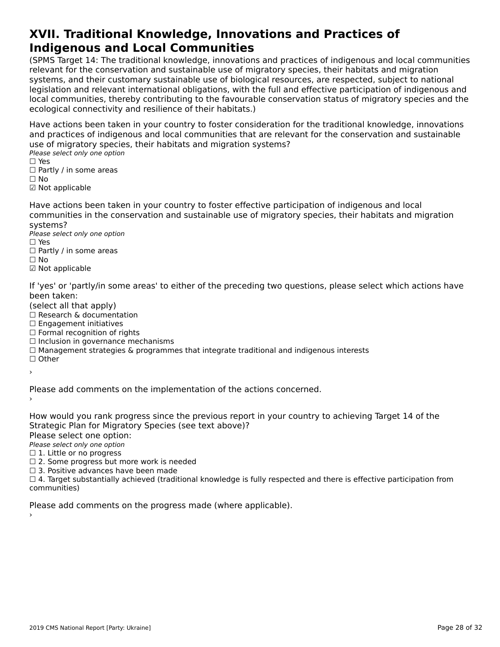#### **XVII. Traditional Knowledge, Innovations and Practices of Indigenous and Local CommunitiesIndigenous and Local Communities**

(SPMS Target 14: The traditional knowledge, innovations and practices of indigenous and local communities relevant for the conservation and sustainable use of migratory species, their habitats and migration<br>relevant for the conservation and sustainable use of migratory species, their habitats and migration relevant for the conservation and sustainable use of migratory species, their nabitats and migration<br>systems, and their customary sustainable use of biological resources, are respected, subject to national systems, and their customary sustainable use or biological resources, are respected, subject to hational<br>legislation and relevant international obligations, with the full and effective participation of indigenous and<br>legis local connectivities, thereby continuumy to the layou and conservation status of migratory species and the ecological connectivity and resilience of their habitats.)

Have actions been taken in your country to foster consideration for the traditional knowledge, innovations and practices of indigenous and local communities that are relevant for the conservation and sustainable use of migratory species, their habitats and migration systems?

ase of migratory specie<br>Please select only one option □ ies<br>□ Partly / in some areas

- ☐ No
- 
- ☑ Not applicable

Have actions been taken in your country to foster effective participation of indigenous and local communities in the conservation and sustainable use of migratory species, their habitats and migration systems?systems?

Please select only one option ☐ Yes

- $\square$  Yes □ Tes<br>□ Partly / in some areas
- 
- ☑ Not applicable

If 'yes' or 'partly/in some areas' to either of the preceding two questions, please select which actions have

- been taken.<br>(select all that apply)
- (select all that apply)<br>□ Research & documentation
- □ Research & documenta<br>□ Engagement initiatives
- □ Engagement initiatives<br>□ Formal recognition of rights
- □ Torman recognition or rights<br>□ Inclusion in governance mechanisms
- □ Inclusion in governance mechanisms<br>□ Management strategies & programmes that integrate traditional and indigenous interests
- ☐ Other
- ›

Please add comments on the implementation of the actions concerned.

›

How would you rank progress since the previous report in your country to achieving Target 14 of the Strategic Plan for Migratory Species (see text above)?

Please select one option:

∩ease select one option<br>Please select only one option

- $\Box$  1. Little or no progress □ 1. Little of no progress<br>□ 2. Some progress but more work is needed
- $\square$  2. Some progress but more work is ne<br> $\square$  3. Positive advances have been made

☐ 4. Target substantially achieved (traditional knowledge is fully respected and there is effective participation from communities)

Please add comments on the progress made (where applicable).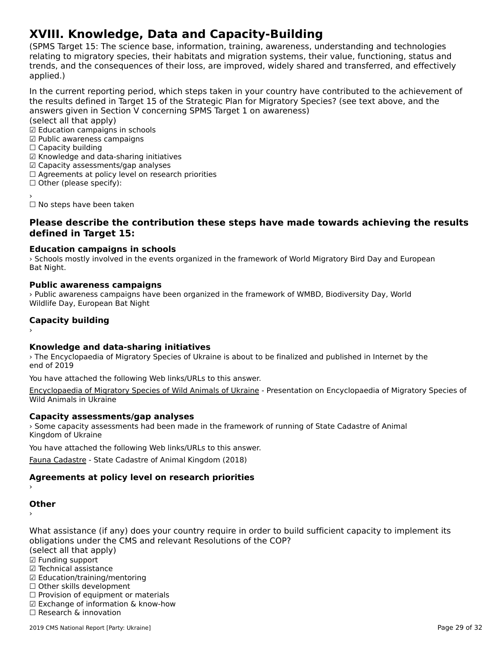# **XVIII. Knowledge, Data and Capacity-Building**

(SPMS Target 15: The science base, information, training, awareness, understanding and technologies ודה ומו הוירוס, anyet ו- the science base, information, training, awareness, understanding and technologies<br>relating to migratory species, their habitats and migration systems, their value, functioning, status and relating to migratory species, their habitats and migration systems, their value, functioning, status and<br>trends, and the consequences of their loss, are improved, widely shared and transferred, and effectively applied.)

In the current reporting period, which steps taken in your country have contributed to the achievement of answers given in Section V concerning Space in Section V concerning Space Section V concerning Space in the state of the Superior V concerning Space in Section V concerning Space in Section V concerning Space in Section V answers given in Section V concerning SPMS Target 1 on awareness)

(select all that apply)

☑ Education campaigns in schools

- ☑ Public awareness campaigns ☐ Capacity building
- $\Box$  Capacity building
- ☑ Knowledge and data-sharing initiatives
- ⊠ Knowledge and data-sharing initiativ<br>☑ Capacity assessments/gap analyses
- ⊠ Capacity assessments/yap anaryses<br>□ Agreements at policy level on research priorities
- □ Agreements at policy is<br>□ Other (please specify):
- 

☐ No steps have been taken

#### **Please describe the contribution these steps have made towards achieving the results defined in Target 15:**

#### **Education campaigns in schools**

› Schools mostly involved in the events organized in the framework of World Migratory Bird Day and European sunous<br>Bat Night.

#### **Public awareness campaigns**

› Public awareness campaigns have been organized in the framework of WMBD, Biodiversity Day, World Wildlife Day, European Bat Night

### **Capacity building** ›

#### **Knowledge and data-sharing initiatives**

› The Encyclopaedia of Migratory Species of Ukraine is about to be finalized and published in Internet by the end of 2019

You have attached the following Web links/URLs to this answer.

[Encyclopaedia of Migratory Species of Wild Animals of Ukraine](https://menr.gov.ua/files/docs/Bioriznomanittya/Poluda_%D0%B5%D0%BD%D1%86%D0%B8%D0%BA%D0%BB%D0%BE%D0%BF%D0%B5%D0%B4%D1%96%D1%8F.ppt) - Presentation on Encyclopaedia of Migratory Species of Wild Animals in Ukraine

#### **Capacity assessments/gap analyses**

Capacity assessments/gap analyses<br>> Some capacity assessments had been made in the framework of running of State Cadastre of Animal Kingdom of Ukraine

You have attached the following Web links/URLs to this answer.

[Fauna Cadastre](https://menr.gov.ua/news/33158.html) - State Cadastre of Animal Kingdom (2018)

### **Agreements at policy level on research priorities** ›

### **Other**

›

What assistance (if any) does your country require in order to build sufficient capacity to implement its obligations under the CMS and relevant Resolutions of the COP?

opligations under the<br>(select all that apply)

- ☑ Funding support
- ⊠ Tunding support<br>☑ Technical assistance
- ☑ Education/training/mentoring ☐ Other skills development
- $\Box$  Other skills development
- □ Other skills development<br>□ Provision of equipment or materials
- ☑ Exchange of information & know-how
- ☐ Research & innovation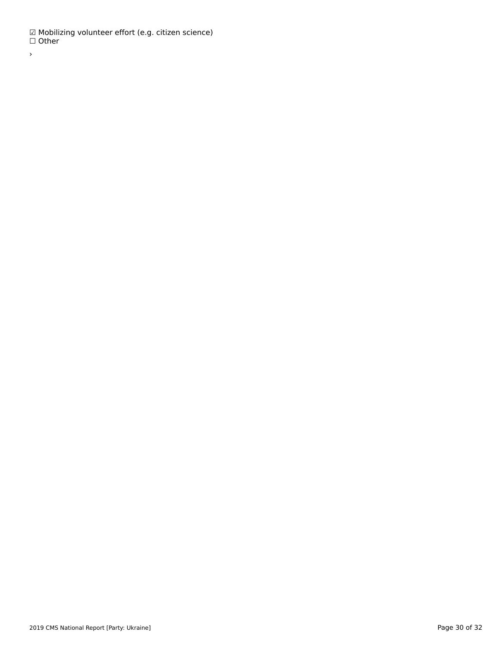☑ Mobilizing volunteer effort (e.g. citizen science) ☐ Other ›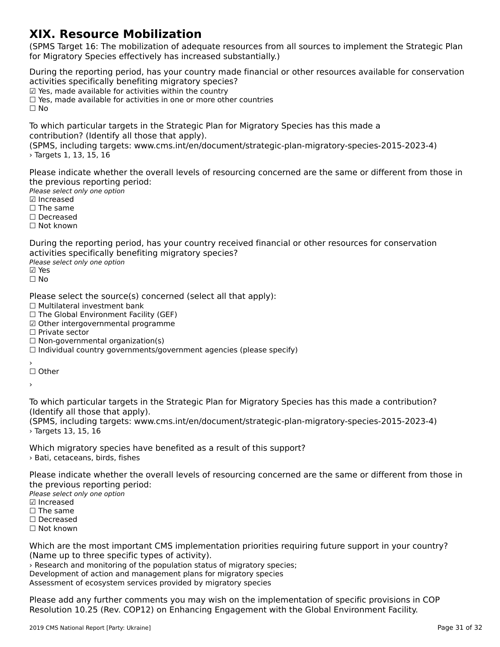#### **XIX. Resource Mobilization**

(SPMS Target 16: The mobilization of adequate resources from all sources to implement the Strategic Plan for Migratory Species effectively has increased substantially.)for Migratory Species effectively has increased substantially.)

During the reporting period, has your country made financial or other resources available for conservation activities specifically benefiting migratory species? activities specifically benefiting imgratory specie<br>☑ Yes, made available for activities within the country ☐ Yes, made available for activities in one or more other countries☐ No

To which particular targets in the Strategic Plan for Migratory Species has this made a

(SPMS, including targets: www.cms.int/en/document/strategic-plan-migratory-species-2015-2023-4) › Targets 1, 13, 15, 16

Please indicate whether the overall levels of resourcing concerned are the same or different from those in riease muicate whether the ov<br>the previous reporting period:

Please select only one option

*riease select*<br>☑ Increased

**□ The same** 

☐ Decreased

☐ Not known

During the reporting period, has your country received financial or other resources for conservation activities specifically benefiting migratory species?

αਦਰ victos spectricany se<br>Please select only one option

☐ No

Please select the source(s) concerned (select all that apply):

⊓ease select the source(s) of<br>□ Multilateral investment bank

□ Multilateral investment bank<br>□ The Global Environment Facility (GEF)

☑ Other intergovernmental programme

☐ Private sector

□ Tirvate sector<br>□ Non-governmental organization(s)

□ Individual country governments/government agencies (please specify)<br>□ Individual country governments/government agencies (please specify)

′<br>□ Other

›

To which particular targets in the Strategic Plan for Migratory Species has this made a contribution?

(SPMS, including targets: www.cms.int/en/document/strategic-plan-migratory-species-2015-2023-4) › Targets 13, 15, 16> Targets 13, 15, 16

Which migratory species have benefited as a result of this support? › Batі, cetaceans, birds, fishes

Please indicate whether the overall levels of resourcing concerned are the same or different from those in the previous reporting period:

Please select only one option ☑ Increased

**☑** Increased

□ The same

☐ Decreased ☐ Not known

Which are the most important CMS implementation priorities requiring future support in your country? (Name up to three specific types of activity). › Research and monitoring of the population status of migratory species; **Thesearch and monitoring or the population status or migratory species**<br>Development of action and management plans for migratory species

Assessment of ecosystem services provided by migratory species

Please add any further comments you may wish on the implementation of specific provisions in COP<br>Resolution 10.25 (Rev. COP12) on Enhancing Engagement with the Global Environment Facility. Resolution 10.25 (Rev. COP12) on Enhancing Engagement with the Global Environment Facility.